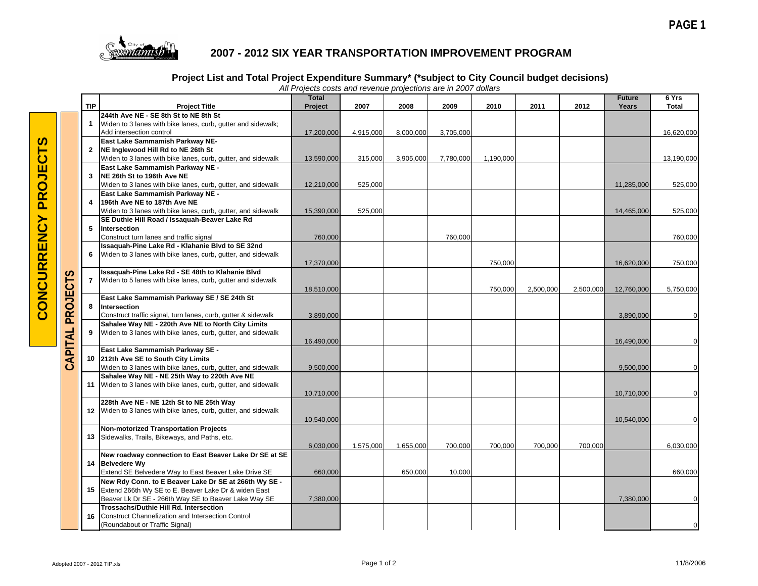

## **2007 - 2012 SIX YEAR TRANSPORTATION IMPROVEMENT PROGRAM**

## **Project List and Total Project Expenditure Summary\* (\*subject to City Council budget decisions)**

|              |             |                                                                                                                                                                          | <b>Total</b>            |           |           |           |           |           |           | <b>Future</b>           | 6 Yrs        |
|--------------|-------------|--------------------------------------------------------------------------------------------------------------------------------------------------------------------------|-------------------------|-----------|-----------|-----------|-----------|-----------|-----------|-------------------------|--------------|
|              | <b>TIP</b>  | <b>Project Title</b>                                                                                                                                                     | Project                 | 2007      | 2008      | 2009      | 2010      | 2011      | 2012      | Years                   | <b>Total</b> |
|              | $\mathbf 1$ | 244th Ave NE - SE 8th St to NE 8th St<br>Widen to 3 lanes with bike lanes, curb, gutter and sidewalk;<br>Add intersection control                                        | 17,200,000              | 4,915,000 | 8,000,000 | 3,705,000 |           |           |           |                         | 16,620,000   |
|              |             | East Lake Sammamish Parkway NE-<br>2 NE Inglewood Hill Rd to NE 26th St<br>Widen to 3 lanes with bike lanes, curb, gutter, and sidewalk                                  | 13,590,000              | 315,000   | 3,905,000 | 7,780,000 | 1,190,000 |           |           |                         | 13,190,000   |
|              | 3           | East Lake Sammamish Parkway NE -<br>NE 26th St to 196th Ave NE<br>Widen to 3 lanes with bike lanes, curb, gutter, and sidewalk                                           | 12,210,000              | 525,000   |           |           |           |           |           | 11,285,000              | 525,000      |
|              | 4           | East Lake Sammamish Parkway NE -<br>196th Ave NE to 187th Ave NE                                                                                                         |                         | 525,000   |           |           |           |           |           |                         |              |
|              | 5           | Widen to 3 lanes with bike lanes, curb, gutter, and sidewalk<br>SE Duthie Hill Road / Issaquah-Beaver Lake Rd<br>Intersection                                            | 15,390,000              |           |           |           |           |           |           | 14,465,000              | 525,000      |
|              | 6           | Construct turn lanes and traffic signal<br>Issaquah-Pine Lake Rd - Klahanie Blvd to SE 32nd<br>Widen to 3 lanes with bike lanes, curb, gutter, and sidewalk              | 760,000                 |           |           | 760,000   |           |           |           |                         | 760,000      |
| CTS          | 7           | Issaquah-Pine Lake Rd - SE 48th to Klahanie Blvd<br>Widen to 5 lanes with bike lanes, curb, gutter and sidewalk                                                          | 17,370,000              |           |           |           | 750,000   |           |           | 16,620,000              | 750,000      |
| <b>PROJE</b> | 8           | East Lake Sammamish Parkway SE / SE 24th St<br>Intersection<br>Construct traffic signal, turn lanes, curb, gutter & sidewalk                                             | 18,510,000<br>3,890,000 |           |           |           | 750,000   | 2,500,000 | 2,500,000 | 12,760,000<br>3,890,000 | 5,750,000    |
|              | 9           | Sahalee Way NE - 220th Ave NE to North City Limits<br>Widen to 3 lanes with bike lanes, curb, gutter, and sidewalk                                                       | 16,490,000              |           |           |           |           |           |           | 16,490,000              |              |
| CAPITAL      |             | East Lake Sammamish Parkway SE -<br>10 212th Ave SE to South City Limits<br>Widen to 3 lanes with bike lanes, curb, gutter, and sidewalk                                 | 9,500,000               |           |           |           |           |           |           | 9,500,000               |              |
|              |             | Sahalee Way NE - NE 25th Way to 220th Ave NE<br>11 Widen to 3 lanes with bike lanes, curb, gutter, and sidewalk                                                          | 10,710,000              |           |           |           |           |           |           | 10,710,000              |              |
|              |             | 228th Ave NE - NE 12th St to NE 25th Way<br>12 Widen to 3 lanes with bike lanes, curb, gutter, and sidewalk                                                              | 10,540,000              |           |           |           |           |           |           | 10,540,000              |              |
|              | 13          | <b>Non-motorized Transportation Projects</b><br>Sidewalks, Trails, Bikeways, and Paths, etc.                                                                             | 6,030,000               | 1,575,000 | 1,655,000 | 700,000   | 700,000   | 700,000   | 700,000   |                         | 6,030,000    |
|              |             | New roadway connection to East Beaver Lake Dr SE at SE<br>14 Belvedere Wy<br>Extend SE Belvedere Way to East Beaver Lake Drive SE                                        | 660,000                 |           | 650,000   | 10,000    |           |           |           |                         | 660,000      |
|              |             | New Rdy Conn. to E Beaver Lake Dr SE at 266th Wy SE -<br>15 Extend 266th Wy SE to E. Beaver Lake Dr & widen East<br>Beaver Lk Dr SE - 266th Way SE to Beaver Lake Way SE | 7,380,000               |           |           |           |           |           |           | 7,380,000               |              |
|              | 16          | <b>Trossachs/Duthie Hill Rd. Intersection</b><br>Construct Channelization and Intersection Control<br>(Roundabout or Traffic Signal)                                     |                         |           |           |           |           |           |           |                         |              |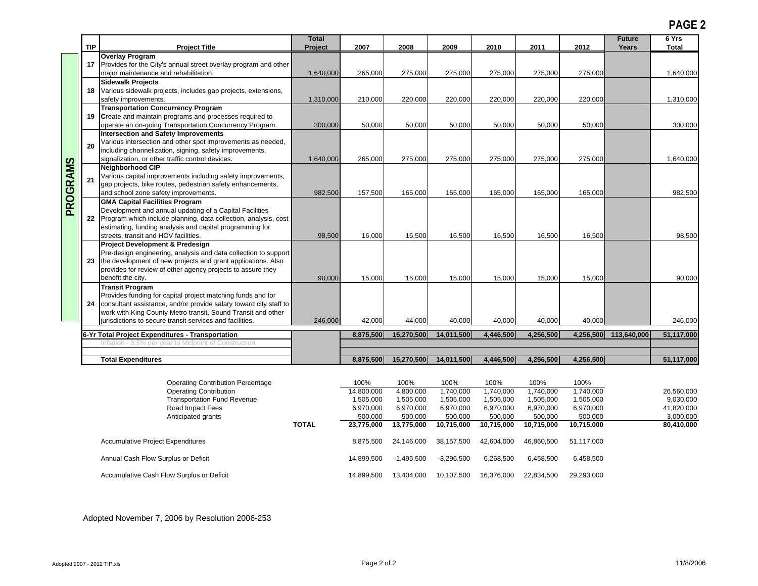**PAGE 2**

|          |            |                                                                                                                                                                                                                                                                                                              | <b>Total</b>     |                                      |                                     |                                     |                                     |                                     | <b>Future</b>                       | 6 Yrs                 |                                       |
|----------|------------|--------------------------------------------------------------------------------------------------------------------------------------------------------------------------------------------------------------------------------------------------------------------------------------------------------------|------------------|--------------------------------------|-------------------------------------|-------------------------------------|-------------------------------------|-------------------------------------|-------------------------------------|-----------------------|---------------------------------------|
|          | <b>TIP</b> | <b>Project Title</b>                                                                                                                                                                                                                                                                                         | Project          | 2007                                 | 2008                                | 2009                                | 2010                                | 2011                                | 2012                                | Years                 | <b>Total</b>                          |
|          |            | <b>Overlay Program</b><br>17 Provides for the City's annual street overlay program and other<br>major maintenance and rehabilitation.                                                                                                                                                                        | 1,640,000        | 265,000                              | 275,000                             | 275,000                             | 275,000                             | 275,000                             | 275,000                             |                       | 1,640,000                             |
|          |            | <b>Sidewalk Projects</b><br>18 Various sidewalk projects, includes gap projects, extensions,<br>safety improvements.                                                                                                                                                                                         | 1,310,000        | 210,000                              | 220,000                             | 220,000                             | 220,000                             | 220,000                             | 220,000                             |                       | 1,310,000                             |
|          |            | <b>Transportation Concurrency Program</b><br>19 Create and maintain programs and processes required to                                                                                                                                                                                                       |                  |                                      |                                     |                                     |                                     |                                     |                                     |                       |                                       |
|          | 20         | operate an on-going Transportation Concurrency Program.<br>Intersection and Safety Improvements<br>Various intersection and other spot improvements as needed,<br>including channelization, signing, safety improvements,                                                                                    | 300,000          | 50,000                               | 50,000                              | 50,000                              | 50,000                              | 50,000                              | 50,000                              |                       | 300,000                               |
| PROGRAMS | 21         | signalization, or other traffic control devices.<br>Neighborhood CIP<br>Various capital improvements including safety improvements,<br>gap projects, bike routes, pedestrian safety enhancements,                                                                                                            | 1,640,000        | 265,000                              | 275,000                             | 275,000                             | 275,000                             | 275,000                             | 275,000                             |                       | 1,640,000                             |
|          |            | and school zone safety improvements.<br><b>GMA Capital Facilities Program</b><br>Development and annual updating of a Capital Facilities<br>22 Program which include planning, data collection, analysis, cost<br>estimating, funding analysis and capital programming for                                   | 982,500          | 157,500                              | 165,000                             | 165,000                             | 165,000                             | 165,000                             | 165,000                             |                       | 982,500                               |
|          |            | streets, transit and HOV facilities.<br><b>Project Development &amp; Predesign</b><br>Pre-design engineering, analysis and data collection to support<br>23 the development of new projects and grant applications. Also<br>provides for review of other agency projects to assure they<br>benefit the city. | 98,500<br>90,000 | 16,000<br>15,000                     | 16,500<br>15,000                    | 16,500<br>15,000                    | 16,500<br>15,000                    | 16,500<br>15,000                    | 16.500<br>15,000                    |                       | 98.500<br>90,000                      |
|          | 24         | <b>Transit Program</b><br>Provides funding for capital project matching funds and for<br>consultant assistance, and/or provide salary toward city staff to<br>work with King County Metro transit, Sound Transit and other<br>jurisdictions to secure transit services and facilities.                       | 246,000          | 42,000                               | 44,000                              | 40,000                              | 40,000                              | 40,000                              | 40.000                              |                       | 246,000                               |
|          |            | 6-Yr Total Project Expenditures - Transportation<br>Inflation - 3.5% per year to Midpoint of Construction                                                                                                                                                                                                    |                  | 8,875,500                            | 15,270,500                          | 14,011,500                          | 4,446,500                           | 4,256,500                           |                                     | 4,256,500 113,640,000 | 51,117,000                            |
|          |            | <b>Total Expenditures</b>                                                                                                                                                                                                                                                                                    |                  | 8.875.500                            | 15,270,500                          | 14,011,500                          | 4,446,500                           | 4,256,500                           | 4,256,500                           |                       | 51,117,000                            |
|          |            | <b>Operating Contribution Percentage</b>                                                                                                                                                                                                                                                                     |                  | 100%                                 | 100%                                | 100%                                | 100%                                | 100%                                | 100%                                |                       |                                       |
|          |            | <b>Operating Contribution</b><br><b>Transportation Fund Revenue</b><br>Road Impact Fees                                                                                                                                                                                                                      |                  | 14,800,000<br>1,505,000<br>6,970,000 | 4,800,000<br>1,505,000<br>6,970,000 | 1,740,000<br>1,505,000<br>6,970,000 | 1,740,000<br>1,505,000<br>6,970,000 | 1,740,000<br>1,505,000<br>6,970,000 | 1,740,000<br>1,505,000<br>6,970,000 |                       | 26,560,000<br>9,030,000<br>41,820,000 |
|          |            | Anticipated grants                                                                                                                                                                                                                                                                                           | <b>TOTAL</b>     | 500,000<br>23,775,000                | 500,000<br>13,775,000               | 500,000<br>10,715,000               | 500,000<br>10,715,000               | 500,000<br>10,715,000               | 500,000<br>10,715,000               |                       | 3,000,000<br>80,410,000               |

| , underly granted                         |       | <u>vvv.vvv</u> | ,,,,,,,,              | <b>000.000</b> | ,,,,,,,    | ,,,,,,,    |            | 0,000,00  |
|-------------------------------------------|-------|----------------|-----------------------|----------------|------------|------------|------------|-----------|
|                                           | TOTAL | 23.775.000     | 13.775.000            | 10.715.000     | 10.715.000 | 10.715.000 | 10.715.000 | 80,410,00 |
| <b>Accumulative Project Expenditures</b>  |       | 8.875.500      | 24,146,000 38,157,500 |                | 42.604.000 | 46.860.500 | 51.117.000 |           |
| Annual Cash Flow Surplus or Deficit       |       | 14.899.500     | -1.495.500            | $-3.296.500$   | 6.268.500  | 6.458.500  | 6.458.500  |           |
| Accumulative Cash Flow Surplus or Deficit |       | 14.899.500     | 13,404,000            | 10,107,500     | 16,376,000 | 22.834.500 | 29,293,000 |           |

Adopted November 7, 2006 by Resolution 2006-253